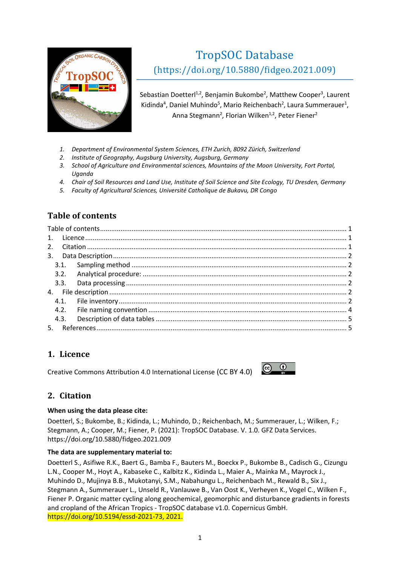

# TropSOC Database [\(https://doi.org/10.5880/fidgeo.2021.009\)](https://doi.org/10.5880/fidgeo.2021.009)

Sebastian Doetterl<sup>1,2</sup>, Benjamin Bukombe<sup>2</sup>, Matthew Cooper<sup>3</sup>, Laurent Kidinda<sup>4</sup>, Daniel Muhindo<sup>5</sup>, Mario Reichenbach<sup>2</sup>, Laura Summerauer<sup>1</sup>, Anna Stegmann<sup>2</sup>, Florian Wilken<sup>1,2</sup>, Peter Fiener<sup>2</sup>

- *1. Department of Environmental System Sciences, ETH Zurich, 8092 Zürich, Switzerland*
- *2. Institute of Geography, Augsburg University, Augsburg, Germany*
- *3. School of Agriculture and Environmental sciences, Mountains of the Moon University, Fort Portal, Uganda*
- *4. Chair of Soil Resources and Land Use, Institute of Soil Science and Site Ecology, TU Dresden, Germany*
- *5. Faculty of Agricultural Sciences, Université Catholique de Bukavu, DR Congo*

# <span id="page-0-0"></span>**Table of contents**

| 3.2. |  |  |  |
|------|--|--|--|
|      |  |  |  |
| 4.   |  |  |  |
|      |  |  |  |
| 4.2. |  |  |  |
| 4.3. |  |  |  |
| 5.   |  |  |  |

# <span id="page-0-1"></span>**1. Licence**

<span id="page-0-2"></span>[Creative Commons Attribution 4.0 International License](https://creativecommons.org/licenses/by/4.0/) (CC BY 4.0)



## **2. Citation**

#### **When using the data please cite:**

Doetterl, S.; Bukombe, B.; Kidinda, L.; Muhindo, D.; Reichenbach, M.; Summerauer, L.; Wilken, F.; Stegmann, A.; Cooper, M.; Fiener, P. (2021): TropSOC Database. V. 1.0. GFZ Data Services. <https://doi.org/10.5880/fidgeo.2021.009>

## **The data are supplementary material to:**

Doetterl S., Asifiwe R.K., Baert G., Bamba F., Bauters M., Boeckx P., Bukombe B., Cadisch G., Cizungu L.N., Cooper M., Hoyt A., Kabaseke C., Kalbitz K., Kidinda L., Maier A., Mainka M., Mayrock J., Muhindo D., Mujinya B.B., Mukotanyi, S.M., Nabahungu L., Reichenbach M., Rewald B., Six J., Stegmann A., Summerauer L., Unseld R., Vanlauwe B., Van Oost K., Verheyen K., Vogel C., Wilken F., Fiener P. Organic matter cycling along geochemical, geomorphic and disturbance gradients in forests and cropland of the African Tropics - TropSOC database v1.0. Copernicus GmbH. [https://doi.org/10.5194/essd-2021-73,](https://doi.org/10.5194/essd-2021-73) 2021.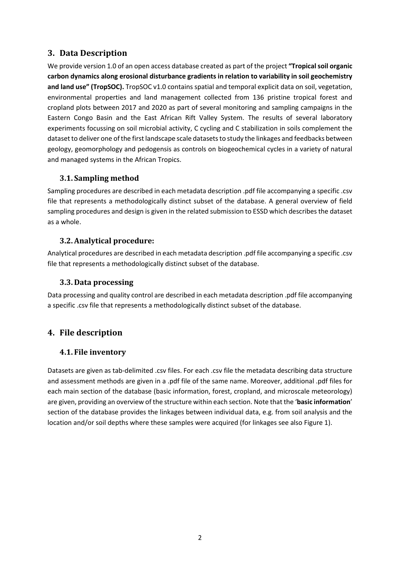# <span id="page-1-0"></span>**3. Data Description**

We provide version 1.0 of an open access database created as part of the project **"Tropical soil organic carbon dynamics along erosional disturbance gradients in relation to variability in soil geochemistry and land use" (TropSOC).** TropSOC v1.0 contains spatial and temporal explicit data on soil, vegetation, environmental properties and land management collected from 136 pristine tropical forest and cropland plots between 2017 and 2020 as part of several monitoring and sampling campaigns in the Eastern Congo Basin and the East African Rift Valley System. The results of several laboratory experiments focussing on soil microbial activity, C cycling and C stabilization in soils complement the dataset to deliver one of the first landscape scale datasets to study the linkages and feedbacks between geology, geomorphology and pedogensis as controls on biogeochemical cycles in a variety of natural and managed systems in the African Tropics.

## <span id="page-1-1"></span>**3.1. Sampling method**

Sampling procedures are described in each metadata description .pdf file accompanying a specific .csv file that represents a methodologically distinct subset of the database. A general overview of field sampling procedures and design is given in the related submission to ESSD which describes the dataset as a whole.

## <span id="page-1-2"></span>**3.2.Analytical procedure:**

Analytical procedures are described in each metadata description .pdf file accompanying a specific .csv file that represents a methodologically distinct subset of the database.

## <span id="page-1-3"></span>**3.3. Data processing**

Data processing and quality control are described in each metadata description .pdf file accompanying a specific .csv file that represents a methodologically distinct subset of the database.

# <span id="page-1-5"></span><span id="page-1-4"></span>**4. File description**

## **4.1. File inventory**

Datasets are given as tab-delimited .csv files. For each .csv file the metadata describing data structure and assessment methods are given in a .pdf file of the same name. Moreover, additional .pdf files for each main section of the database (basic information, forest, cropland, and microscale meteorology) are given, providing an overview of the structure within each section. Note that the '**basic information**' section of the database provides the linkages between individual data, e.g. from soil analysis and the location and/or soil depths where these samples were acquired (for linkages see also Figure 1).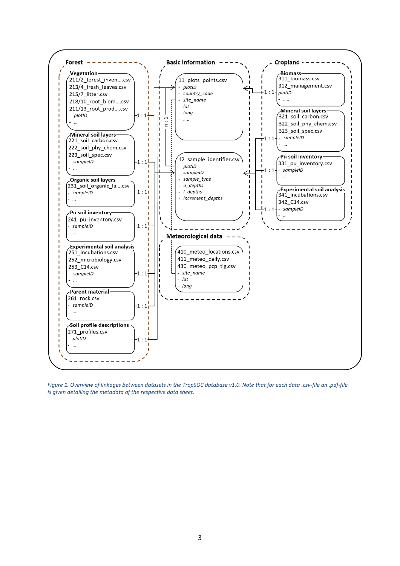

*Figure 1. Overview of linkages between datasets in the TropSOC database v1.0. Note that for each data .csv-file an .pdf-file is given detailing the metadata of the respective data sheet.*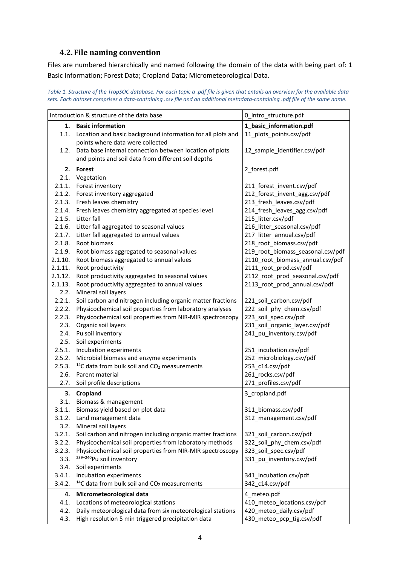# <span id="page-3-0"></span>**4.2. File naming convention**

Files are numbered hierarchically and named following the domain of the data with being part of: 1 Basic Information; Forest Data; Cropland Data; Micrometeorological Data.

*Table 1. Structure of the TropSOC database. For each topic a .pdf file is given that entails an overview for the available data sets. Each dataset comprises a data-containing .csv file and an additional metadata-containing .pdf file of the same name.*

| Introduction & structure of the data base |                                                                                      | 0_intro_structure.pdf                              |
|-------------------------------------------|--------------------------------------------------------------------------------------|----------------------------------------------------|
| 1. Basic information                      |                                                                                      | 1_basic_information.pdf                            |
|                                           | 1.1. Location and basic background information for all plots and                     | 11_plots_points.csv/pdf                            |
|                                           | points where data were collected                                                     |                                                    |
|                                           | 1.2. Data base internal connection between location of plots                         | 12_sample_identifier.csv/pdf                       |
|                                           | and points and soil data from different soil depths                                  |                                                    |
|                                           |                                                                                      |                                                    |
|                                           | 2. Forest                                                                            | 2_forest.pdf                                       |
| 2.1.                                      | Vegetation                                                                           |                                                    |
| 2.1.1.                                    | Forest inventory                                                                     | 211_forest_invent.csv/pdf                          |
| 2.1.2.                                    | Forest inventory aggregated<br>Fresh leaves chemistry                                | 212_forest_invent_agg.csv/pdf                      |
| 2.1.3.                                    |                                                                                      | 213_fresh_leaves.csv/pdf                           |
| 2.1.4.<br>2.1.5.                          | Fresh leaves chemistry aggregated at species level<br>Litter fall                    | 214_fresh_leaves_agg.csv/pdf<br>215_litter.csv/pdf |
| 2.1.6.                                    |                                                                                      | 216_litter_seasonal.csv/pdf                        |
| 2.1.7.                                    | Litter fall aggregated to seasonal values<br>Litter fall aggregated to annual values | 217_litter_annual.csv/pdf                          |
| 2.1.8.                                    | Root biomass                                                                         | 218_root_biomass.csv/pdf                           |
| 2.1.9.                                    | Root biomass aggregated to seasonal values                                           | 219_root_biomass_seasonal.csv/pdf                  |
| 2.1.10.                                   | Root biomass aggregated to annual values                                             | 2110_root_biomass_annual.csv/pdf                   |
| 2.1.11.                                   | Root productivity                                                                    | 2111_root_prod.csv/pdf                             |
| 2.1.12.                                   | Root productivity aggregated to seasonal values                                      | 2112_root_prod_seasonal.csv/pdf                    |
| 2.1.13.                                   | Root productivity aggregated to annual values                                        | 2113 root prod annual.csv/pdf                      |
| 2.2.                                      | Mineral soil layers                                                                  |                                                    |
| 2.2.1.                                    | Soil carbon and nitrogen including organic matter fractions                          | 221_soil_carbon.csv/pdf                            |
| 2.2.2.                                    | Physicochemical soil properties from laboratory analyses                             | 222_soil_phy_chem.csv/pdf                          |
| 2.2.3.                                    | Physicochemical soil properties from NIR-MIR spectroscopy                            | 223_soil_spec.csv/pdf                              |
| 2.3.                                      | Organic soil layers                                                                  | 231_soil_organic_layer.csv/pdf                     |
| 2.4.                                      | Pu soil inventory                                                                    | 241_pu_inventory.csv/pdf                           |
| 2.5.                                      | Soil experiments                                                                     |                                                    |
| 2.5.1.                                    | Incubation experiments                                                               | 251_incubation.csv/pdf                             |
| 2.5.2.                                    | Microbial biomass and enzyme experiments                                             | 252_microbiology.csv/pdf                           |
| 2.5.3.                                    | <sup>14</sup> C data from bulk soil and CO <sub>2</sub> measurements                 | 253_c14.csv/pdf                                    |
| 2.6.                                      | Parent material                                                                      | 261_rocks.csv/pdf                                  |
| 2.7.                                      | Soil profile descriptions                                                            | 271_profiles.csv/pdf                               |
|                                           | 3. Cropland                                                                          | 3_cropland.pdf                                     |
|                                           | 3.1. Biomass & management                                                            |                                                    |
|                                           | 3.1.1. Biomass yield based on plot data                                              | 311_biomass.csv/pdf                                |
| 3.1.2.                                    | Land management data                                                                 | 312_management.csv/pdf                             |
| 3.2.                                      | Mineral soil layers                                                                  |                                                    |
| 3.2.1.                                    | Soil carbon and nitrogen including organic matter fractions                          | 321_soil_carbon.csv/pdf                            |
| 3.2.2.                                    | Physicochemical soil properties from laboratory methods                              | 322_soil_phy_chem.csv/pdf                          |
| 3.2.3.                                    | Physicochemical soil properties from NIR-MIR spectroscopy                            | 323_soil_spec.csv/pdf                              |
| 3.3.                                      | 239+240 Pu soil inventory                                                            | 331_pu_inventory.csv/pdf                           |
| 3.4.                                      | Soil experiments                                                                     |                                                    |
| 3.4.1.                                    | Incubation experiments                                                               | 341 incubation.csv/pdf                             |
| 3.4.2.                                    | <sup>14</sup> C data from bulk soil and CO <sub>2</sub> measurements                 | 342 c14.csv/pdf                                    |
| 4.                                        | Micrometeorological data                                                             | 4 meteo.pdf                                        |
| 4.1.                                      | Locations of meteorological stations                                                 | 410_meteo_locations.csv/pdf                        |
| 4.2.                                      | Daily meteorological data from six meteorological stations                           | 420_meteo_daily.csv/pdf                            |
| 4.3.                                      | High resolution 5 min triggered precipitation data                                   | 430_meteo_pcp_tig.csv/pdf                          |